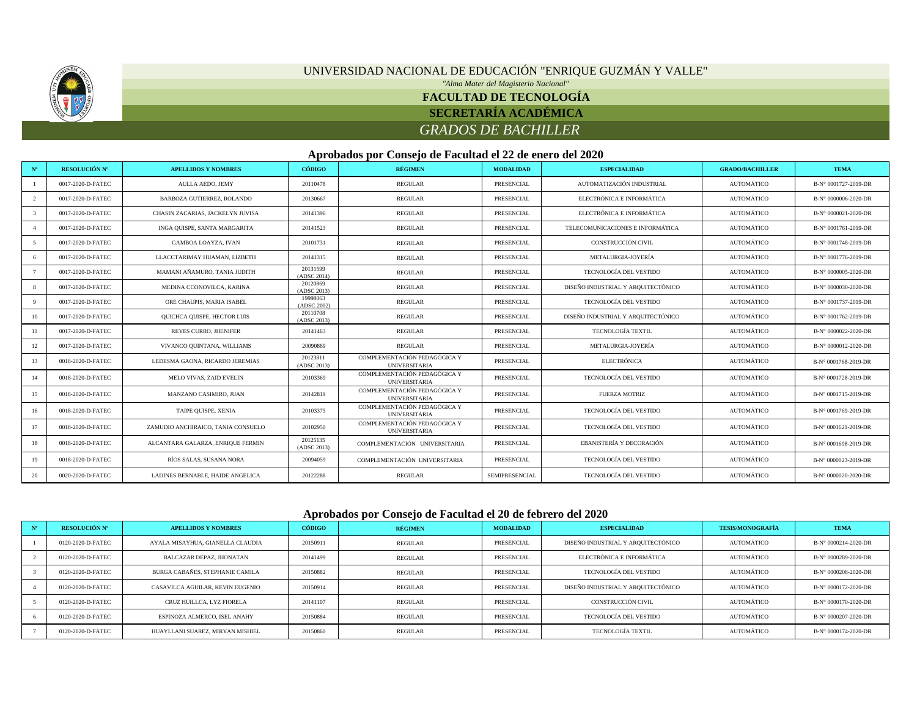

# UNIVERSIDAD NACIONAL DE EDUCACIÓN "ENRIQUE GUZMÁN Y VALLE"

*"Alma Mater del Magisterio Nacional"*

### **FACULTAD DE TECNOLOGÍA**

#### **SECRETARÍA ACADÉMICA**

### *GRADOS DE BACHILLER*

#### **Aprobados por Consejo de Facultad el 22 de enero del 2020**

| $N^{\circ}$ | <b>RESOLUCIÓN Nº</b> | <b>APELLIDOS Y NOMBRES</b>         | CÓDIGO                  | <b>RÉGIMEN</b>                                       | <b>MODALIDAD</b> | <b>ESPECIALIDAD</b>                | <b>GRADO/BACHILLER</b> | <b>TEMA</b>          |
|-------------|----------------------|------------------------------------|-------------------------|------------------------------------------------------|------------------|------------------------------------|------------------------|----------------------|
|             | 0017-2020-D-FATEC    | AULLA AEDO, JEMY                   | 20110478                | REGULAR                                              | PRESENCIAL       | AUTOMATIZACIÓN INDUSTRIAL          | AUTOMÁTICO             | B-N° 0001727-2019-DR |
|             | 0017-2020-D-FATEC    | BARBOZA GUTIERREZ, ROLANDO         | 20130667                | <b>REGULAR</b>                                       | PRESENCIAL       | ELECTRÓNICA E INFORMÁTICA          | AUTOMÁTICO             | B-N° 0000006-2020-DR |
|             | 0017-2020-D-FATEC    | CHASIN ZACARIAS, JACKELYN JUVISA   | 20141396                | <b>REGULAR</b>                                       | PRESENCIAL       | ELECTRÓNICA E INFORMÁTICA          | AUTOMÁTICO             | B-N° 0000021-2020-DR |
|             | 0017-2020-D-FATEC    | INGA QUISPE, SANTA MARGARITA       | 20141523                | REGULAR                                              | PRESENCIAL       | TELECOMUNICACIONES E INFORMÁTICA   | AUTOMÁTICO             | B-N° 0001761-2019-DR |
|             | 0017-2020-D-FATEC    | <b>GAMBOA LOAYZA, IVAN</b>         | 20101731                | REGULAR                                              | PRESENCIAL       | CONSTRUCCIÓN CIVIL                 | AUTOMÁTICO             | B-N° 0001748-2019-DR |
|             | 0017-2020-D-FATEC    | LLACCTARIMAY HUAMAN, LIZBETH       | 20141315                | <b>REGULAR</b>                                       | PRESENCIAL       | METALURGIA-JOYERÍA                 | AUTOMÁTICO             | B-N° 0001776-2019-DR |
|             | 0017-2020-D-FATEC    | MAMANI AÑAMURO, TANIA JUDITH       | 20131599<br>(ADSC 2014) | REGULAR                                              | PRESENCIAL       | TECNOLOGÍA DEL VESTIDO             | AUTOMÁTICO             | B-N° 0000005-2020-DR |
|             | 0017-2020-D-FATEC    | MEDINA CCONOVILCA, KARINA          | 20120869<br>(ADSC 2013) | REGULAR                                              | PRESENCIAL       | DISEÑO INDUSTRIAL Y ARQUITECTÓNICO | AUTOMÁTICO             | B-N° 0000030-2020-DR |
|             | 0017-2020-D-FATEC    | ORE CHAUPIS. MARIA ISABEL          | 19998063<br>(ADSC 2002) | REGULAR                                              | PRESENCIAL       | TECNOLOGÍA DEL VESTIDO             | AUTOMÁTICO             | B-N° 0001737-2019-DR |
| 10          | 0017-2020-D-FATEC    | QUICHCA QUISPE, HECTOR LUIS        | 20110708<br>(ADSC 2013) | <b>REGULAR</b>                                       | PRESENCIAL       | DISEÑO INDUSTRIAL Y ARQUITECTÓNICO | AUTOMÁTICO             | B-N° 0001762-2019-DR |
|             | 0017-2020-D-FATEC    | <b>REYES CURRO, JHENIFER</b>       | 20141463                | REGULAR                                              | PRESENCIAL       | <b>TECNOLOGÍA TEXTIL</b>           | AUTOMÁTICO             | B-N° 0000022-2020-DR |
| 12          | 0017-2020-D-FATEC    | VIVANCO QUINTANA, WILLIAMS         | 20090869                | <b>REGULAR</b>                                       | PRESENCIAL       | METALURGIA-JOYERÍA                 | AUTOMÁTICO             | B-N° 0000012-2020-DR |
| 13          | 0018-2020-D-FATEC    | LEDESMA GAONA, RICARDO JEREMIAS    | 20123811<br>(ADSC 2013) | COMPLEMENTACIÓN PEDAGÓGICA Y<br><b>UNIVERSITARIA</b> | PRESENCIAL       | <b>ELECTRÓNICA</b>                 | AUTOMÁTICO             | B-N° 0001768-2019-DR |
| 14          | 0018-2020-D-FATEC    | MELO VIVAS, ZAID EVELIN            | 20103369                | COMPLEMENTACIÓN PEDAGÓGICA Y<br><b>UNIVERSITARIA</b> | PRESENCIAL       | TECNOLOGÍA DEL VESTIDO             | AUTOMÁTICO             | B-N° 0001728-2019-DR |
| 15          | 0018-2020-D-FATEC    | MANZANO CASIMIRO, JUAN             | 20142819                | COMPLEMENTACIÓN PEDAGÓGICA Y<br><b>UNIVERSITARIA</b> | PRESENCIAL       | <b>FUERZA MOTRIZ</b>               | AUTOMÁTICO             | B-N° 0001715-2019-DR |
| 16          | 0018-2020-D-FATEC    | TAIPE QUISPE, XENIA                | 20103375                | COMPLEMENTACIÓN PEDAGÓGICA Y<br><b>UNIVERSITARIA</b> | PRESENCIAL       | TECNOLOGÍA DEL VESTIDO             | AUTOMÁTICO             | B-N° 0001769-2019-DR |
| 17          | 0018-2020-D-FATEC    | ZAMUDIO ANCHIRAICO, TANIA CONSUELO | 20102950                | COMPLEMENTACIÓN PEDAGÓGICA Y<br><b>UNIVERSITARIA</b> | PRESENCIAL       | TECNOLOGÍA DEL VESTIDO             | AUTOMÁTICO             | B-N° 0001621-2019-DR |
| 18          | 0018-2020-D-FATEC    | ALCANTARA GALARZA, ENRIQUE FERMIN  | 20125135<br>(ADSC 2013) | COMPLEMENTACIÓN UNIVERSITARIA                        | PRESENCIAL       | EBANISTERÍA Y DECORACIÓN           | AUTOMÁTICO             | B-N° 0001698-2019-DR |
| 19          | 0018-2020-D-FATEC    | RÍOS SALAS, SUSANA NORA            | 20094059                | COMPLEMENTACIÓN UNIVERSITARIA                        | PRESENCIAL       | TECNOLOGÍA DEL VESTIDO             | AUTOMÁTICO             | B-N° 0000023-2019-DR |
| 20          | 0020-2020-D-FATEC    | LADINES BERNABLE, HAIDE ANGELICA   | 20122288                | REGULAR                                              | SEMIPRESENCIAL   | TECNOLOGÍA DEL VESTIDO             | AUTOMÁTICO             | B-N° 0000020-2020-DR |

#### **Aprobados por Consejo de Facultad el 20 de febrero del 2020**

| <b>RESOLUCIÓN N°</b> | <b>APELLIDOS Y NOMBRES</b>       | <b>CÓDIGO</b> | RÉGIMEN        | <b>MODALIDAD</b> | <b>ESPECIALIDAD</b>                | <b>TESIS/MONOGRAFÍA</b> | <b>TEMA</b>          |
|----------------------|----------------------------------|---------------|----------------|------------------|------------------------------------|-------------------------|----------------------|
| 0120-2020-D-FATEC    | AYALA MISAYHUA, GIANELLA CLAUDIA | 20150911      | REGULAR        | PRESENCIAL       | DISEÑO INDUSTRIAL Y ARQUITECTÓNICO | AUTOMÁTICO              | B-N° 0000214-2020-DR |
| 0120-2020-D-FATEC    | BALCAZAR DEPAZ, JHONATAN         | 20141499      | REGULAR        | PRESENCIAL       | ELECTRÓNICA E INFORMÁTICA          | AUTOMÁTICO              | B-N° 0000289-2020-DR |
| 0120-2020-D-FATEC    | BURGA CABAÑES, STEPHANIE CAMILA  | 20150882      | REGULAR        | PRESENCIAL       | TECNOLOGÍA DEL VESTIDO             | AUTOMÁTICO              | B-N° 0000208-2020-DR |
| 0120-2020-D-FATEC    | CASAVILCA AGUILAR. KEVIN EUGENIO | 20150914      | <b>REGULAR</b> | PRESENCIAL       | DISEÑO INDUSTRIAL Y AROUITECTÓNICO | AUTOMÁTICO              | B-N° 0000172-2020-DR |
| 0120-2020-D-FATEC    | CRUZ HUILLCA, LYZ FIORELA        | 20141107      | REGULAR        | PRESENCIAL       | CONSTRUCCIÓN CIVIL                 | AUTOMÁTICO              | B-N° 0000170-2020-DR |
| 0120-2020-D-FATEC    | ESPINOZA ALMERCO. ISEL ANAHY     | 20150884      | REGULAR        | PRESENCIAL       | TECNOLOGÍA DEL VESTIDO             | AUTOMÁTICO              | B-N° 0000207-2020-DR |
| 0120-2020-D-FATEC    | HUAYLLANI SUAREZ, MIRYAN MISHIEL | 20150860      | REGULAR        | PRESENCIAL       | <b>TECNOLOGÍA TEXTIL</b>           | AUTOMÁTICO              | B-N° 0000174-2020-DR |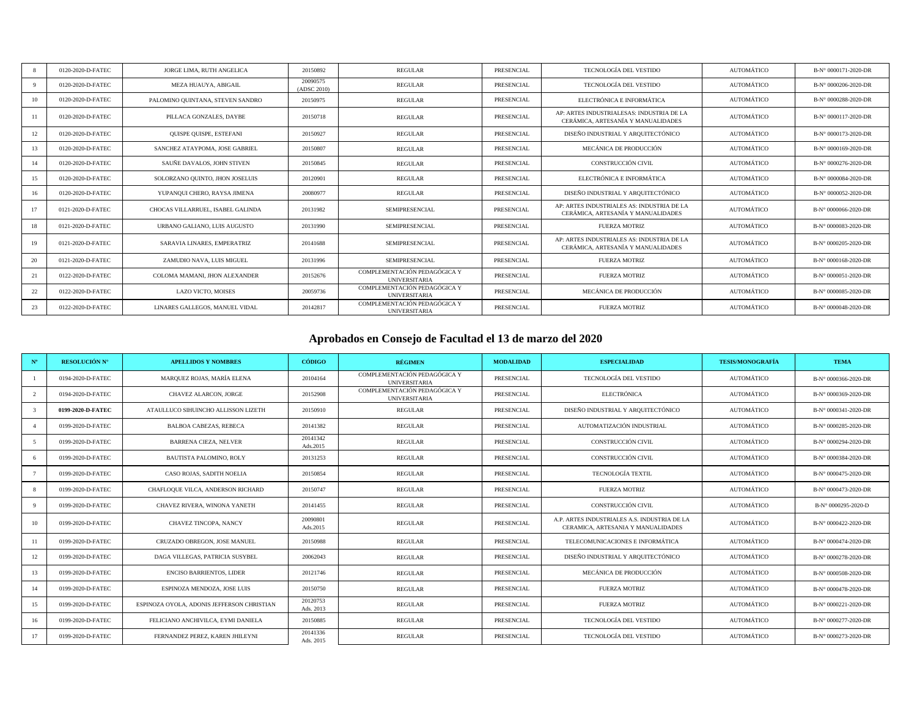|    | 0120-2020-D-FATEC | JORGE LIMA, RUTH ANGELICA         | 20150892                | <b>REGULAR</b>                                       | PRESENCIAL | TECNOLOGÍA DEL VESTIDO                                                           | AUTOMÁTICO | B-N° 0000171-2020-DR |
|----|-------------------|-----------------------------------|-------------------------|------------------------------------------------------|------------|----------------------------------------------------------------------------------|------------|----------------------|
| 9  | 0120-2020-D-FATEC | MEZA HUAUYA, ABIGAIL              | 20090575<br>(ADSC 2010) | <b>REGULAR</b>                                       | PRESENCIAL | TECNOLOGÍA DEL VESTIDO                                                           | AUTOMÁTICO | B-N° 0000206-2020-DR |
| 10 | 0120-2020-D-FATEC | PALOMINO QUINTANA, STEVEN SANDRO  | 20150975                | <b>REGULAR</b>                                       | PRESENCIAL | ELECTRÓNICA E INFORMÁTICA                                                        | AUTOMÁTICO | B-N° 0000288-2020-DR |
| 11 | 0120-2020-D-FATEC | PILLACA GONZALES, DAYBE           | 20150718                | <b>REGULAR</b>                                       | PRESENCIAL | AP: ARTES INDUSTRIALESAS: INDUSTRIA DE LA<br>CERÁMICA. ARTESANÍA Y MANUALIDADES  | AUTOMÁTICO | B-N° 0000117-2020-DR |
| 12 | 0120-2020-D-FATEC | QUISPE QUISPE, ESTEFANI           | 20150927                | <b>REGULAR</b>                                       | PRESENCIAL | DISEÑO INDUSTRIAL Y ARQUITECTÓNICO                                               | AUTOMÁTICO | B-N° 0000173-2020-DR |
| 13 | 0120-2020-D-FATEC | SANCHEZ ATAYPOMA. JOSE GABRIEL    | 20150807                | <b>REGULAR</b>                                       | PRESENCIAL | MECÁNICA DE PRODUCCIÓN                                                           | AUTOMÁTICO | B-N° 0000169-2020-DR |
| 14 | 0120-2020-D-FATEC | SAUÑE DAVALOS, JOHN STIVEN        | 20150845                | <b>REGULAR</b>                                       | PRESENCIAL | CONSTRUCCIÓN CIVIL                                                               | AUTOMÁTICO | B-N° 0000276-2020-DR |
| 15 | 0120-2020-D-FATEC | SOLORZANO QUINTO, JHON JOSELUIS   | 20120901                | <b>REGULAR</b>                                       | PRESENCIAL | ELECTRÓNICA E INFORMÁTICA                                                        | AUTOMÁTICO | B-N° 0000084-2020-DR |
| 16 | 0120-2020-D-FATEC | YUPANQUI CHERO, RAYSA JIMENA      | 20080977                | <b>REGULAR</b>                                       | PRESENCIAL | DISEÑO INDUSTRIAL Y ARQUITECTÓNICO                                               | AUTOMÁTICO | B-N° 0000052-2020-DR |
| 17 | 0121-2020-D-FATEC | CHOCAS VILLARRUEL, ISABEL GALINDA | 20131982                | <b>SEMIPRESENCIAL</b>                                | PRESENCIAL | AP: ARTES INDUSTRIALES AS: INDUSTRIA DE LA<br>CERÁMICA. ARTESANÍA Y MANUALIDADES | AUTOMÁTICO | B-N° 0000066-2020-DR |
| 18 | 0121-2020-D-FATEC | URBANO GALIANO, LUIS AUGUSTO      | 20131990                | <b>SEMIPRESENCIAL</b>                                | PRESENCIAL | FUERZA MOTRIZ                                                                    | AUTOMÁTICO | B-N° 0000083-2020-DR |
| 19 | 0121-2020-D-FATEC | SARAVIA LINARES, EMPERATRIZ       | 20141688                | <b>SEMIPRESENCIAL</b>                                | PRESENCIAL | AP: ARTES INDUSTRIALES AS: INDUSTRIA DE LA<br>CERÁMICA. ARTESANÍA Y MANUALIDADES | AUTOMÁTICO | B-N° 0000205-2020-DR |
| 20 | 0121-2020-D-FATEC | ZAMUDIO NAVA, LUIS MIGUEL         | 20131996                | <b>SEMIPRESENCIAL</b>                                | PRESENCIAL | <b>FUERZA MOTRIZ</b>                                                             | AUTOMÁTICO | B-N° 0000168-2020-DR |
| 21 | 0122-2020-D-FATEC | COLOMA MAMANI. JHON ALEXANDER     | 20152676                | COMPLEMENTACIÓN PEDAGÓGICA Y<br><b>UNIVERSITARIA</b> | PRESENCIAL | <b>FUERZA MOTRIZ</b>                                                             | AUTOMÁTICO | B-N° 0000051-2020-DR |
| 22 | 0122-2020-D-FATEC | <b>LAZO VICTO, MOISES</b>         | 20059736                | COMPLEMENTACIÓN PEDAGÓGICA Y<br><b>UNIVERSITARIA</b> | PRESENCIAL | MECÁNICA DE PRODUCCIÓN                                                           | AUTOMÁTICO | B-N° 0000085-2020-DR |
| 23 | 0122-2020-D-FATEC | LINARES GALLEGOS, MANUEL VIDAL    | 20142817                | COMPLEMENTACIÓN PEDAGÓGICA Y<br><b>UNIVERSITARIA</b> | PRESENCIAL | <b>FUERZA MOTRIZ</b>                                                             | AUTOMÁTICO | B-N° 0000048-2020-DR |

# **Aprobados en Consejo de Facultad el 13 de marzo del 2020**

| $N^{o}$      | <b>RESOLUCIÓN Nº</b> | <b>APELLIDOS Y NOMBRES</b>                 | CÓDIGO                | <b>RÉGIMEN</b>                                       | <b>MODALIDAD</b> | <b>ESPECIALIDAD</b>                                                                | <b>TESIS/MONOGRAFÍA</b> | <b>TEMA</b>          |
|--------------|----------------------|--------------------------------------------|-----------------------|------------------------------------------------------|------------------|------------------------------------------------------------------------------------|-------------------------|----------------------|
|              | 0194-2020-D-FATEC    | MARQUEZ ROJAS, MARÍA ELENA                 | 20104164              | COMPLEMENTACIÓN PEDAGÓGICA Y<br><b>UNIVERSITARIA</b> | PRESENCIAL       | TECNOLOGÍA DEL VESTIDO                                                             | AUTOMÁTICO              | B-N° 0000366-2020-DR |
|              | 0194-2020-D-FATEC    | CHAVEZ ALARCON, JORGE                      | 20152908              | COMPLEMENTACIÓN PEDAGÓGICA Y<br><b>UNIVERSITARIA</b> | PRESENCIAL       | <b>ELECTRÓNICA</b>                                                                 | AUTOMÁTICO              | B-N° 0000369-2020-DR |
| $\mathbf{3}$ | 0199-2020-D-FATEC    | ATAULLUCO SIHUINCHO ALLISSON LIZETH        | 20150910              | <b>REGULAR</b>                                       | PRESENCIAL       | DISEÑO INDUSTRIAL Y AROUITECTÓNICO                                                 | AUTOMÁTICO              | B-N° 0000341-2020-DR |
|              | 0199-2020-D-FATEC    | <b>BALBOA CABEZAS, REBECA</b>              | 20141382              | <b>REGULAR</b>                                       | PRESENCIAL       | AUTOMATIZACIÓN INDUSTRIAL                                                          | AUTOMÁTICO              | B-N° 0000285-2020-DR |
| $\sim$       | 0199-2020-D-FATEC    | <b>BARRENA CIEZA, NELVER</b>               | 20141342<br>Ads.2015  | <b>REGULAR</b>                                       | PRESENCIAL       | CONSTRUCCIÓN CIVIL                                                                 | AUTOMÁTICO              | B-N° 0000294-2020-DR |
| -6           | 0199-2020-D-FATEC    | BAUTISTA PALOMINO, ROLY                    | 20131253              | <b>REGULAR</b>                                       | PRESENCIAL       | CONSTRUCCIÓN CIVIL                                                                 | AUTOMÁTICO              | B-N° 0000384-2020-DR |
|              | 0199-2020-D-FATEC    | CASO ROJAS, SADITH NOELIA                  | 20150854              | <b>REGULAR</b>                                       | PRESENCIAL       | <b>TECNOLOGÍA TEXTIL</b>                                                           | AUTOMÁTICO              | B-N° 0000475-2020-DR |
|              | 0199-2020-D-FATEC    | CHAFLOQUE VILCA, ANDERSON RICHARD          | 20150747              | <b>REGULAR</b>                                       | PRESENCIAL       | <b>FUERZA MOTRIZ</b>                                                               | AUTOMÁTICO              | B-N° 0000473-2020-DR |
| $\mathbf Q$  | 0199-2020-D-FATEC    | CHAVEZ RIVERA, WINONA YANETH               | 20141455              | <b>REGULAR</b>                                       | PRESENCIAL       | CONSTRUCCIÓN CIVIL                                                                 | AUTOMÁTICO              | B-N° 0000295-2020-D  |
| 10           | 0199-2020-D-FATEC    | CHAVEZ TINCOPA, NANCY                      | 20090801<br>Ads.2015  | <b>REGULAR</b>                                       | PRESENCIAL       | A.P. ARTES INDUSTRIALES A.S. INDUSTRIA DE LA<br>CERAMICA, ARTESANIA Y MANUALIDADES | <b>AUTOMÁTICO</b>       | B-N° 0000422-2020-DR |
| 11           | 0199-2020-D-FATEC    | CRUZADO OBREGON, JOSE MANUEL               | 20150988              | <b>REGULAR</b>                                       | PRESENCIAL       | TELECOMUNICACIONES E INFORMÁTICA                                                   | AUTOMÁTICO              | B-N° 0000474-2020-DR |
| 12           | 0199-2020-D-FATEC    | DAGA VILLEGAS, PATRICIA SUSYBEL            | 20062043              | <b>REGULAR</b>                                       | PRESENCIAL       | DISEÑO INDUSTRIAL Y ARQUITECTÓNICO                                                 | AUTOMÁTICO              | B-N° 0000278-2020-DR |
| 13           | 0199-2020-D-FATEC    | <b>ENCISO BARRIENTOS, LIDER</b>            | 20121746              | <b>REGULAR</b>                                       | PRESENCIAL       | MECÁNICA DE PRODUCCIÓN                                                             | AUTOMÁTICO              | B-N° 0000508-2020-DR |
| 14           | 0199-2020-D-FATEC    | ESPINOZA MENDOZA, JOSE LUIS                | 20150750              | <b>REGULAR</b>                                       | PRESENCIAL       | <b>FUERZA MOTRIZ</b>                                                               | <b>AUTOMÁTICO</b>       | B-N° 0000478-2020-DR |
| 15           | 0199-2020-D-FATEC    | ESPINOZA OYOLA, ADONIS JEFFERSON CHRISTIAN | 20120753<br>Ads. 2013 | <b>REGULAR</b>                                       | PRESENCIAL       | <b>FUERZA MOTRIZ</b>                                                               | AUTOMÁTICO              | B-N° 0000221-2020-DR |
| 16           | 0199-2020-D-FATEC    | FELICIANO ANCHIVILCA, EYMI DANIELA         | 20150885              | <b>REGULAR</b>                                       | PRESENCIAL       | TECNOLOGÍA DEL VESTIDO                                                             | AUTOMÁTICO              | B-N° 0000277-2020-DR |
| 17           | 0199-2020-D-FATEC    | FERNANDEZ PEREZ, KAREN JHILEYNI            | 20141336<br>Ads. 2015 | <b>REGULAR</b>                                       | PRESENCIAL       | TECNOLOGÍA DEL VESTIDO                                                             | AUTOMÁTICO              | B-N° 0000273-2020-DR |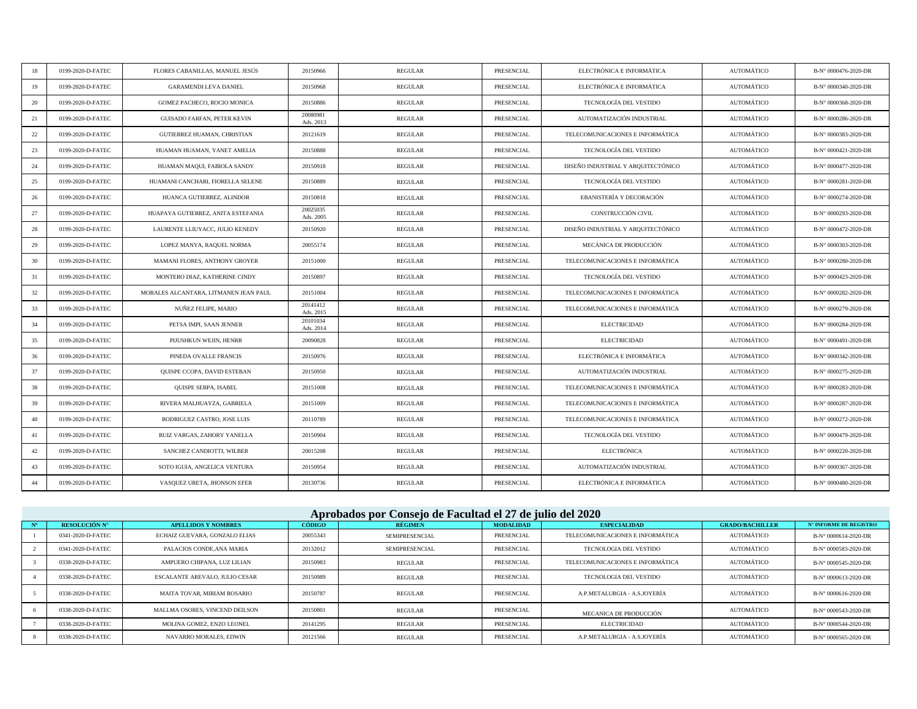| 18 | 0199-2020-D-FATEC | FLORES CABANILLAS, MANUEL JESÚS       | 20150966              | <b>REGULAR</b> | PRESENCIAL | ELECTRÓNICA E INFORMÁTICA          | AUTOMÁTICO | B-N° 0000476-2020-DR |
|----|-------------------|---------------------------------------|-----------------------|----------------|------------|------------------------------------|------------|----------------------|
| 19 | 0199-2020-D-FATEC | <b>GARAMENDI LEVA DANIEL</b>          | 20150968              | <b>REGULAR</b> | PRESENCIAL | ELECTRÓNICA E INFORMÁTICA          | AUTOMÁTICO | B-N° 0000340-2020-DR |
| 20 | 0199-2020-D-FATEC | GOMEZ PACHECO, ROCIO MONICA           | 20150886              | <b>REGULAR</b> | PRESENCIAL | TECNOLOGÍA DEL VESTIDO             | AUTOMÁTICO | B-N° 0000368-2020-DR |
| 21 | 0199-2020-D-FATEC | GUISADO FARFAN, PETER KEVIN           | 20080981<br>Ads. 2013 | <b>REGULAR</b> | PRESENCIAL | AUTOMATIZACIÓN INDUSTRIAL          | AUTOMÁTICO | B-N° 0000286-2020-DR |
| 22 | 0199-2020-D-FATEC | GUTIERREZ HUAMAN, CHRISTIAN           | 20121619              | REGULAR        | PRESENCIAL | TELECOMUNICACIONES E INFORMÁTICA   | AUTOMÁTICO | B-N° 0000383-2020-DR |
| 23 | 0199-2020-D-FATEC | HUAMAN HUAMAN, YANET AMELIA           | 20150888              | REGULAR        | PRESENCIAL | TECNOLOGÍA DEL VESTIDO             | AUTOMÁTICO | B-N° 0000421-2020-DR |
| 24 | 0199-2020-D-FATEC | HUAMAN MAQUI, FABIOLA SANDY           | 20150918              | <b>REGULAR</b> | PRESENCIAL | DISEÑO INDUSTRIAL Y ARQUITECTÓNICO | AUTOMÁTICO | B-N° 0000477-2020-DR |
| 25 | 0199-2020-D-FATEC | HUAMANI CANCHARI, FIORELLA SELENE     | 20150889              | <b>REGULAR</b> | PRESENCIAL | TECNOLOGÍA DEL VESTIDO             | AUTOMÁTICO | B-N° 0000281-2020-DR |
| 26 | 0199-2020-D-FATEC | HUANCA GUTIERREZ, ALINDOR             | 20150818              | <b>REGULAR</b> | PRESENCIAL | EBANISTERÍA Y DECORACIÓN           | AUTOMÁTICO | B-N° 0000274-2020-DR |
| 27 | 0199-2020-D-FATEC | HUAPAYA GUTIERREZ, ANITA ESTEFANIA    | 20025035<br>Ads. 2005 | REGULAR        | PRESENCIAL | CONSTRUCCIÓN CIVIL                 | AUTOMÁTICO | B-N° 0000293-2020-DR |
| 28 | 0199-2020-D-FATEC | LAURENTE LLIUYACC, JULIO KENEDY       | 20150920              | <b>REGULAR</b> | PRESENCIAL | DISEÑO INDUSTRIAL Y ARQUITECTÓNICO | AUTOMÁTICO | B-N° 0000472-2020-DR |
| 29 | 0199-2020-D-FATEC | LOPEZ MANYA, RAQUEL NORMA             | 20055174              | <b>REGULAR</b> | PRESENCIAL | MECÁNICA DE PRODUCCIÓN             | AUTOMÁTICO | B-N° 0000303-2020-DR |
| 30 | 0199-2020-D-FATEC | MAMANI FLORES, ANTHONY GROYER         | 20151000              | <b>REGULAR</b> | PRESENCIAL | TELECOMUNICACIONES E INFORMÁTICA   | AUTOMÁTICO | B-N° 0000280-2020-DR |
| 31 | 0199-2020-D-FATEC | MONTERO DIAZ, KATHERINE CINDY         | 20150897              | REGULAR        | PRESENCIAL | TECNOLOGÍA DEL VESTIDO             | AUTOMÁTICO | B-N° 0000423-2020-DR |
| 32 | 0199-2020-D-FATEC | MORALES ALCANTARA, LITMANEN JEAN PAUL | 20151004              | REGULAR        | PRESENCIAL | TELECOMUNICACIONES E INFORMÁTICA   | AUTOMÁTICO | B-N° 0000282-2020-DR |
| 33 | 0199-2020-D-FATEC | NUÑEZ FELIPE, MARIO                   | 20141412<br>Ads. 2015 | <b>REGULAR</b> | PRESENCIAL | TELECOMUNICACIONES E INFORMÁTICA   | AUTOMÁTICO | B-N° 0000279-2020-DR |
| 34 | 0199-2020-D-FATEC | PETSA IMPI, SAAN JENNER               | 20101034<br>Ads. 2014 | <b>REGULAR</b> | PRESENCIAL | <b>ELECTRICIDAD</b>                | AUTOMÁTICO | B-N° 0000284-2020-DR |
| 35 | 0199-2020-D-FATEC | PIJUSHKUN WEJIN, HENRR                | 20090828              | REGULAR        | PRESENCIAL | <b>ELECTRICIDAD</b>                | AUTOMÁTICO | B-N° 0000491-2020-DR |
| 36 | 0199-2020-D-FATEC | PINEDA OVALLE FRANCIS                 | 20150976              | REGULAR        | PRESENCIAL | ELECTRÓNICA E INFORMÁTICA          | AUTOMÁTICO | B-N° 0000342-2020-DR |
| 37 | 0199-2020-D-FATEC | QUISPE CCOPA, DAVID ESTEBAN           | 20150950              | <b>REGULAR</b> | PRESENCIAL | AUTOMATIZACIÓN INDUSTRIAL          | AUTOMÁTICO | B-N° 0000275-2020-DR |
| 38 | 0199-2020-D-FATEC | QUISPE SERPA, ISABEL                  | 20151008              | <b>REGULAR</b> | PRESENCIAL | TELECOMUNICACIONES E INFORMÁTICA   | AUTOMÁTICO | B-N° 0000283-2020-DR |
| 39 | 0199-2020-D-FATEC | RIVERA MALHUAYZA, GABRIELA            | 20151009              | <b>REGULAR</b> | PRESENCIAL | TELECOMUNICACIONES E INFORMÁTICA   | AUTOMÁTICO | B-N° 0000287-2020-DR |
| 40 | 0199-2020-D-FATEC | RODRIGUEZ CASTRO, JOSE LUIS           | 20110789              | REGULAR        | PRESENCIAL | TELECOMUNICACIONES E INFORMÁTICA   | AUTOMÁTICO | B-N° 0000272-2020-DR |
| 41 | 0199-2020-D-FATEC | RUIZ VARGAS, ZAHORY YANELLA           | 20150904              | <b>REGULAR</b> | PRESENCIAL | <b>TECNOLOGÍA DEL VESTIDO</b>      | AUTOMÁTICO | B-N° 0000479-2020-DR |
| 42 | 0199-2020-D-FATEC | SANCHEZ CANDIOTTI, WILBER             | 20015208              | <b>REGULAR</b> | PRESENCIAL | <b>ELECTRÓNICA</b>                 | AUTOMÁTICO | B-N° 0000220-2020-DR |
| 43 | 0199-2020-D-FATEC | SOTO IGUIA, ANGELICA VENTURA          | 20150954              | REGULAR        | PRESENCIAL | AUTOMATIZACIÓN INDUSTRIAL          | AUTOMÁTICO | B-N° 0000367-2020-DR |
| 44 | 0199-2020-D-FATEC | VASQUEZ URETA, JHONSON EFER           | 20130736              | REGULAR        | PRESENCIAL | ELECTRÓNICA E INFORMÁTICA          | AUTOMÁTICO | B-N° 0000480-2020-DR |

# **Aprobados por Consejo de Facultad el 27 de julio del 2020**

| RESOLUCIÓN Nº     | <b>APELLIDOS Y NOMBRES</b>     | <b>CÓDIGO</b> | RÉGIMEN               | <b>MODALIDAD</b> | <b>ESPECIALIDAD</b>              | <b>GRADO/BACHILLER</b> | <b>N° INFORME DE REGISTRO</b> |  |
|-------------------|--------------------------------|---------------|-----------------------|------------------|----------------------------------|------------------------|-------------------------------|--|
| 0341-2020-D-FATEC | ECHAIZ GUEVARA, GONZALO ELIAS  | 20055343      | <b>SEMIPRESENCIAL</b> | PRESENCIAL       | TELECOMUNICACIONES E INFORMÁTICA | AUTOMÁTICO             | B-N° 0000614-2020-DR          |  |
| 0341-2020-D-FATEC | PALACIOS CONDE.ANA MARIA       | 20132012      | <b>SEMIPRESENCIAL</b> | PRESENCIAL       | TECNOLOGIA DEL VESTIDO           | AUTOMÁTICO             | B-N° 0000583-2020-DR          |  |
| 0338-2020-D-FATEC | AMPUERO CHIPANA, LUZ LILIAN    | 20150983      | REGULAR               | PRESENCIAL       | TELECOMUNICACIONES E INFORMÁTICA | AUTOMÁTICO             | B-N° 0000545-2020-DR          |  |
| 0338-2020-D-FATEC | ESCALANTE AREVALO. JULIO CESAR | 20150989      | <b>REGULAR</b>        | PRESENCIAL       | TECNOLOGIA DEL VESTIDO           | AUTOMÁTICO             | B-N° 0000613-2020-DR          |  |
| 0338-2020-D-FATEC | MAITA TOVAR. MIRIAM ROSARIO    | 20150787      | <b>REGULAR</b>        | PRESENCIAL       | A.P.METALURGIA - A.S.JOYERÍA     | AUTOMÁTICO             | B-N° 0000616-2020-DR          |  |
| 0338-2020-D-FATEC | MALLMA OSORES. VINCEND DEILSON | 20150801      | <b>REGULAR</b>        | PRESENCIAL       | MECANICA DE PRODUCCIÓN           | AUTOMÁTICO             | B-N° 0000543-2020-DR          |  |
| 0338-2020-D-FATEC | MOLINA GOMEZ, ENZO LEONEL      | 20141295      | <b>REGULAR</b>        | PRESENCIAL       | ELECTRICIDAD                     | AUTOMÁTICO             | B-N° 0000544-2020-DR          |  |
| 0338-2020-D-FATEC | NAVARRO MORALES, EDWIN         | 20121566      | REGULAR               | PRESENCIAL       | A.P.METALURGIA - A.S.JOYERÍA     | AUTOMÁTICO             | B-N° 0000565-2020-DR          |  |